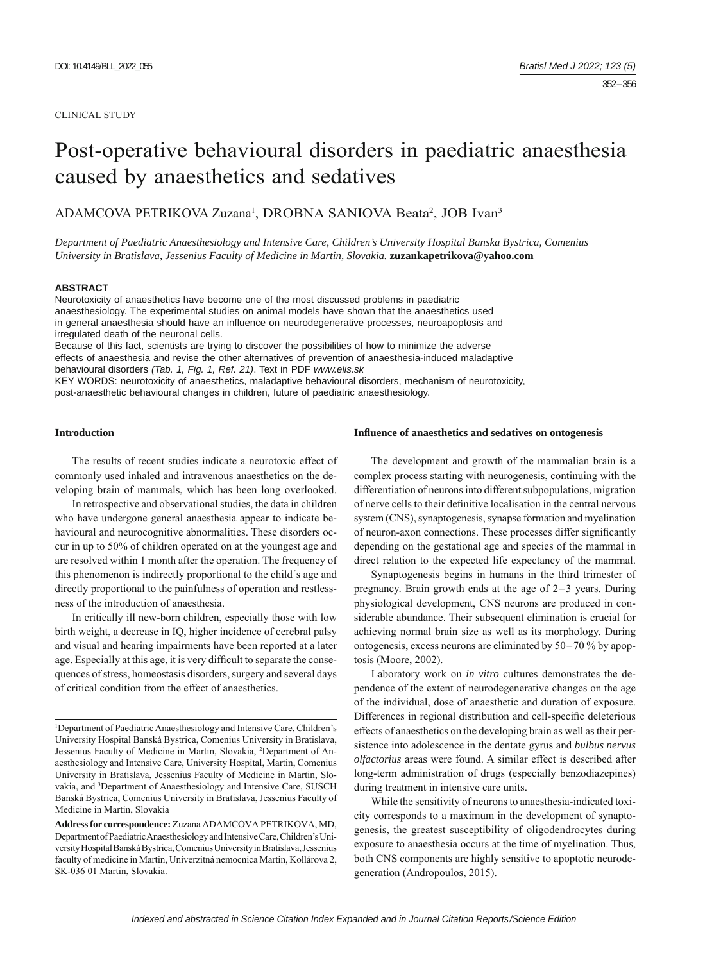#### CLINICAL STUDY

# Post-operative behavioural disorders in paediatric anaesthesia caused by anaesthetics and sedatives

ADAMCOVA PETRIKOVA Zuzana<sup>1</sup>, DROBNA SANIOVA Beata<sup>2</sup>, JOB Ivan<sup>3</sup>

*Department of Paediatric Anaesthesiology and Intensive Care, Children's University Hospital Banska Bystrica, Comenius University in Bratislava, Jessenius Faculty of Medicine in Martin, Slovakia.* **zuzankapetrikova@yahoo.com**

#### **ABSTRACT**

Neurotoxicity of anaesthetics have become one of the most discussed problems in paediatric anaesthesiology. The experimental studies on animal models have shown that the anaesthetics used in general anaesthesia should have an influence on neurodegenerative processes, neuroapoptosis and irregulated death of the neuronal cells.

Because of this fact, scientists are trying to discover the possibilities of how to minimize the adverse effects of anaesthesia and revise the other alternatives of prevention of anaesthesia-induced maladaptive behavioural disorders *(Tab. 1, Fig. 1, Ref. 21)*. Text in PDF *www.elis.sk* KEY WORDS: neurotoxicity of anaesthetics, maladaptive behavioural disorders, mechanism of neurotoxicity,

post-anaesthetic behavioural changes in children, future of paediatric anaesthesiology.

# **Introduction**

The results of recent studies indicate a neurotoxic effect of commonly used inhaled and intravenous anaesthetics on the developing brain of mammals, which has been long overlooked.

In retrospective and observational studies, the data in children who have undergone general anaesthesia appear to indicate behavioural and neurocognitive abnormalities. These disorders occur in up to 50% of children operated on at the youngest age and are resolved within 1 month after the operation. The frequency of this phenomenon is indirectly proportional to the child´s age and directly proportional to the painfulness of operation and restlessness of the introduction of anaesthesia.

In critically ill new-born children, especially those with low birth weight, a decrease in IQ, higher incidence of cerebral palsy and visual and hearing impairments have been reported at a later age. Especially at this age, it is very difficult to separate the consequences of stress, homeostasis disorders, surgery and several days of critical condition from the effect of anaesthetics.

### **Infl uence of anaesthetics and sedatives on ontogenesis**

The development and growth of the mammalian brain is a complex process starting with neurogenesis, continuing with the differentiation of neurons into different subpopulations, migration of nerve cells to their definitive localisation in the central nervous system (CNS), synaptogenesis, synapse formation and myelination of neuron-axon connections. These processes differ significantly depending on the gestational age and species of the mammal in direct relation to the expected life expectancy of the mammal.

Synaptogenesis begins in humans in the third trimester of pregnancy. Brain growth ends at the age of 2–3 years. During physiological development, CNS neurons are produced in considerable abundance. Their subsequent elimination is crucial for achieving normal brain size as well as its morphology. During ontogenesis, excess neurons are eliminated by 50–70 % by apoptosis (Moore, 2002).

Laboratory work on *in vitro* cultures demonstrates the dependence of the extent of neurodegenerative changes on the age of the individual, dose of anaesthetic and duration of exposure. Differences in regional distribution and cell-specific deleterious effects of anaesthetics on the developing brain as well as their persistence into adolescence in the dentate gyrus and *bulbus nervus olfactorius* areas were found. A similar effect is described after long-term administration of drugs (especially benzodiazepines) during treatment in intensive care units.

While the sensitivity of neurons to anaesthesia-indicated toxicity corresponds to a maximum in the development of synaptogenesis, the greatest susceptibility of oligodendrocytes during exposure to anaesthesia occurs at the time of myelination. Thus, both CNS components are highly sensitive to apoptotic neurodegeneration (Andropoulos, 2015).

<sup>&</sup>lt;sup>1</sup>Department of Paediatric Anaesthesiology and Intensive Care, Children's University Hospital Banská Bystrica, Comenius University in Bratislava, Jessenius Faculty of Medicine in Martin, Slovakia, <sup>2</sup>Department of Anaesthesiology and Intensive Care, University Hospital, Martin, Comenius University in Bratislava, Jessenius Faculty of Medicine in Martin, Slovakia, and <sup>3</sup>Department of Anaesthesiology and Intensive Care, SUSCH Banská Bystrica, Comenius University in Bratislava, Jessenius Faculty of Medicine in Martin, Slovakia

**Address for correspondence:** Zuzana ADAMCOVA PETRIKOVA, MD, Department of Paediatric Anaesthesiology and Intensive Care, Children's University Hospital Banská Bystrica, Comenius University in Bratislava, Jessenius faculty of medicine in Martin, Univerzitná nemocnica Martin, Kollárova 2, SK-036 01 Martin, Slovakia.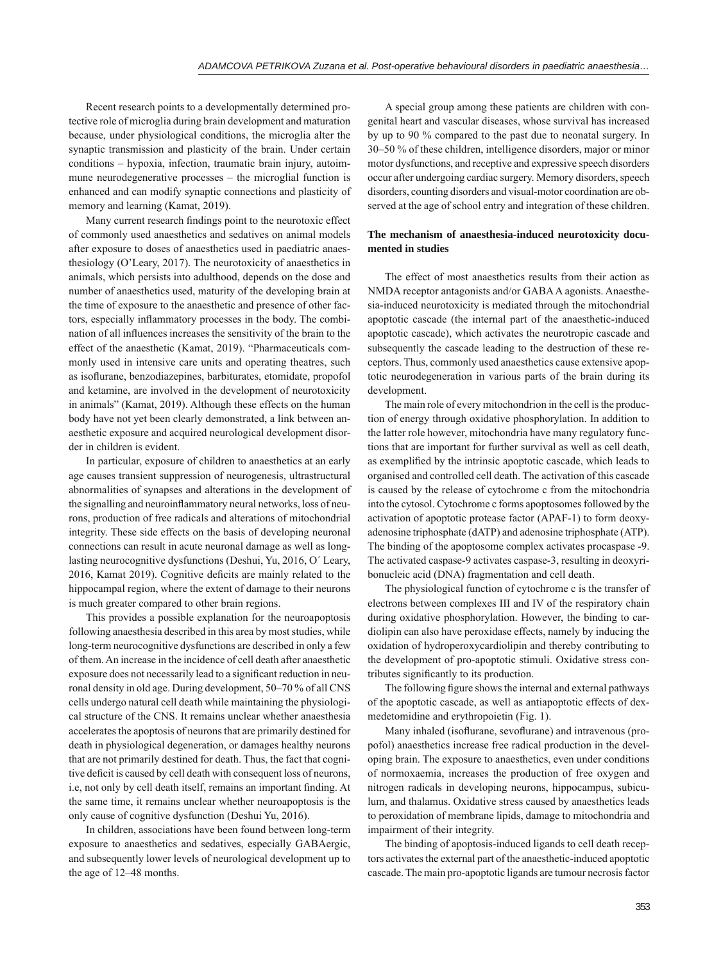Recent research points to a developmentally determined protective role of microglia during brain development and maturation because, under physiological conditions, the microglia alter the synaptic transmission and plasticity of the brain. Under certain conditions – hypoxia, infection, traumatic brain injury, autoimmune neurodegenerative processes – the microglial function is enhanced and can modify synaptic connections and plasticity of memory and learning (Kamat, 2019).

Many current research findings point to the neurotoxic effect of commonly used anaesthetics and sedatives on animal models after exposure to doses of anaesthetics used in paediatric anaesthesiology (O'Leary, 2017). The neurotoxicity of anaesthetics in animals, which persists into adulthood, depends on the dose and number of anaesthetics used, maturity of the developing brain at the time of exposure to the anaesthetic and presence of other factors, especially inflammatory processes in the body. The combination of all influences increases the sensitivity of the brain to the effect of the anaesthetic (Kamat, 2019). "Pharmaceuticals commonly used in intensive care units and operating theatres, such as isoflurane, benzodiazepines, barbiturates, etomidate, propofol and ketamine, are involved in the development of neurotoxicity in animals" (Kamat, 2019). Although these effects on the human body have not yet been clearly demonstrated, a link between anaesthetic exposure and acquired neurological development disorder in children is evident.

In particular, exposure of children to anaesthetics at an early age causes transient suppression of neurogenesis, ultrastructural abnormalities of synapses and alterations in the development of the signalling and neuroinflammatory neural networks, loss of neurons, production of free radicals and alterations of mitochondrial integrity. These side effects on the basis of developing neuronal connections can result in acute neuronal damage as well as longlasting neurocognitive dysfunctions (Deshui, Yu, 2016, O´ Leary,  $2016$ , Kamat  $2019$ ). Cognitive deficits are mainly related to the hippocampal region, where the extent of damage to their neurons is much greater compared to other brain regions.

This provides a possible explanation for the neuroapoptosis following anaesthesia described in this area by most studies, while long-term neurocognitive dysfunctions are described in only a few of them. An increase in the incidence of cell death after anaesthetic exposure does not necessarily lead to a significant reduction in neuronal density in old age. During development, 50–70 % of all CNS cells undergo natural cell death while maintaining the physiological structure of the CNS. It remains unclear whether anaesthesia accelerates the apoptosis of neurons that are primarily destined for death in physiological degeneration, or damages healthy neurons that are not primarily destined for death. Thus, the fact that cognitive deficit is caused by cell death with consequent loss of neurons, i.e, not only by cell death itself, remains an important finding. At the same time, it remains unclear whether neuroapoptosis is the only cause of cognitive dysfunction (Deshui Yu, 2016).

In children, associations have been found between long-term exposure to anaesthetics and sedatives, especially GABAergic, and subsequently lower levels of neurological development up to the age of 12–48 months.

A special group among these patients are children with congenital heart and vascular diseases, whose survival has increased by up to 90 % compared to the past due to neonatal surgery. In 30–50 % of these children, intelligence disorders, major or minor motor dysfunctions, and receptive and expressive speech disorders occur after undergoing cardiac surgery. Memory disorders, speech disorders, counting disorders and visual-motor coordination are observed at the age of school entry and integration of these children.

# **The mechanism of anaesthesia-induced neurotoxicity documented in studies**

The effect of most anaesthetics results from their action as NMDA receptor antagonists and/or GABA A agonists. Anaesthesia-induced neurotoxicity is mediated through the mitochondrial apoptotic cascade (the internal part of the anaesthetic-induced apoptotic cascade), which activates the neurotropic cascade and subsequently the cascade leading to the destruction of these receptors. Thus, commonly used anaesthetics cause extensive apoptotic neurodegeneration in various parts of the brain during its development.

The main role of every mitochondrion in the cell is the production of energy through oxidative phosphorylation. In addition to the latter role however, mitochondria have many regulatory functions that are important for further survival as well as cell death, as exemplified by the intrinsic apoptotic cascade, which leads to organised and controlled cell death. The activation of this cascade is caused by the release of cytochrome c from the mitochondria into the cytosol. Cytochrome c forms apoptosomes followed by the activation of apoptotic protease factor (APAF-1) to form deoxyadenosine triphosphate (dATP) and adenosine triphosphate (ATP). The binding of the apoptosome complex activates procaspase -9. The activated caspase-9 activates caspase-3, resulting in deoxyribonucleic acid (DNA) fragmentation and cell death.

The physiological function of cytochrome c is the transfer of electrons between complexes III and IV of the respiratory chain during oxidative phosphorylation. However, the binding to cardiolipin can also have peroxidase effects, namely by inducing the oxidation of hydroperoxycardiolipin and thereby contributing to the development of pro-apoptotic stimuli. Oxidative stress contributes significantly to its production.

The following figure shows the internal and external pathways of the apoptotic cascade, as well as antiapoptotic effects of dexmedetomidine and erythropoietin (Fig. 1).

Many inhaled (isoflurane, sevoflurane) and intravenous (propofol) anaesthetics increase free radical production in the developing brain. The exposure to anaesthetics, even under conditions of normoxaemia, increases the production of free oxygen and nitrogen radicals in developing neurons, hippocampus, subiculum, and thalamus. Oxidative stress caused by anaesthetics leads to peroxidation of membrane lipids, damage to mitochondria and impairment of their integrity.

The binding of apoptosis-induced ligands to cell death receptors activates the external part of the anaesthetic-induced apoptotic cascade. The main pro-apoptotic ligands are tumour necrosis factor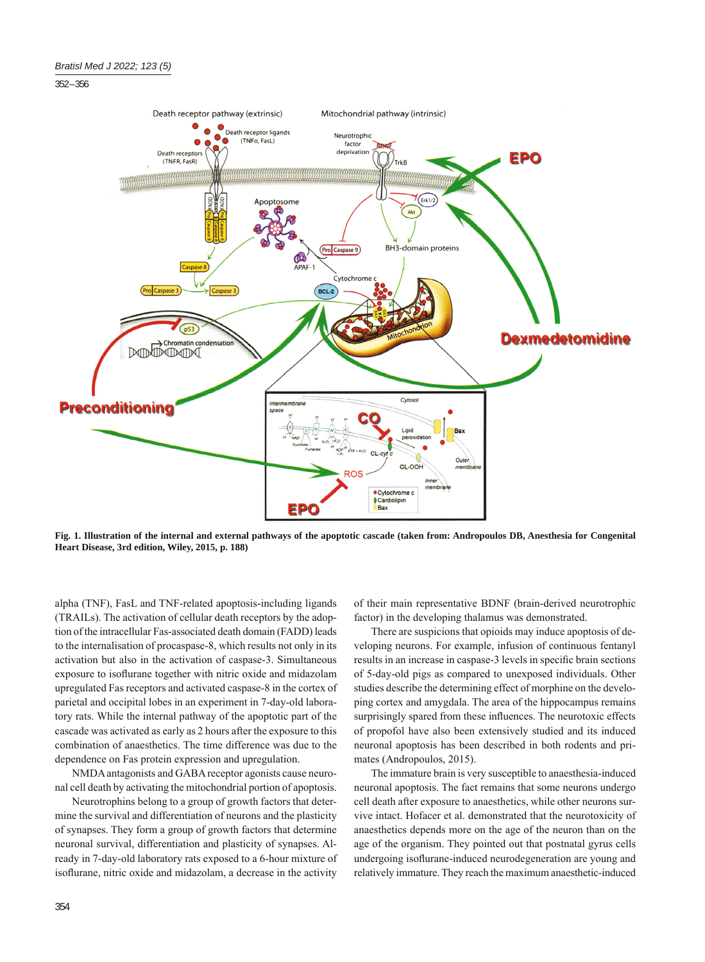## 352 – 356



**Fig. 1. Illustration of the internal and external pathways of the apoptotic cascade (taken from: Andropoulos DB, Anesthesia for Congenital Heart Disease, 3rd edition, Wiley, 2015, p. 188)**

alpha (TNF), FasL and TNF-related apoptosis-including ligands (TRAILs). The activation of cellular death receptors by the adoption of the intracellular Fas-associated death domain (FADD) leads to the internalisation of procaspase-8, which results not only in its activation but also in the activation of caspase-3. Simultaneous exposure to isoflurane together with nitric oxide and midazolam upregulated Fas receptors and activated caspase-8 in the cortex of parietal and occipital lobes in an experiment in 7-day-old laboratory rats. While the internal pathway of the apoptotic part of the cascade was activated as early as 2 hours after the exposure to this combination of anaesthetics. The time difference was due to the dependence on Fas protein expression and upregulation.

NMDA antagonists and GABA receptor agonists cause neuronal cell death by activating the mitochondrial portion of apoptosis.

Neurotrophins belong to a group of growth factors that determine the survival and differentiation of neurons and the plasticity of synapses. They form a group of growth factors that determine neuronal survival, differentiation and plasticity of synapses. Already in 7-day-old laboratory rats exposed to a 6-hour mixture of isoflurane, nitric oxide and midazolam, a decrease in the activity

of their main representative BDNF (brain-derived neurotrophic factor) in the developing thalamus was demonstrated.

There are suspicions that opioids may induce apoptosis of developing neurons. For example, infusion of continuous fentanyl results in an increase in caspase-3 levels in specific brain sections of 5-day-old pigs as compared to unexposed individuals. Other studies describe the determining effect of morphine on the developing cortex and amygdala. The area of the hippocampus remains surprisingly spared from these influences. The neurotoxic effects of propofol have also been extensively studied and its induced neuronal apoptosis has been described in both rodents and primates (Andropoulos, 2015).

The immature brain is very susceptible to anaesthesia-induced neuronal apoptosis. The fact remains that some neurons undergo cell death after exposure to anaesthetics, while other neurons survive intact. Hofacer et al. demonstrated that the neurotoxicity of anaesthetics depends more on the age of the neuron than on the age of the organism. They pointed out that postnatal gyrus cells undergoing isoflurane-induced neurodegeneration are young and relatively immature. They reach the maximum anaesthetic-induced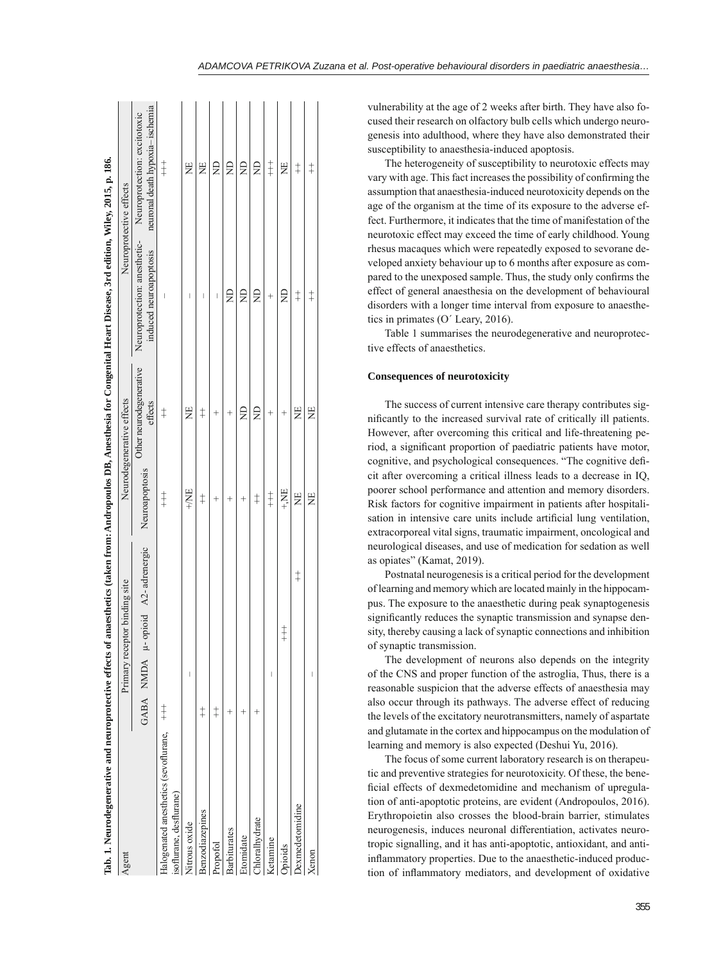| Tab. 1. Neurodegenerative and neuroprotective effects o                 |            |   |                                   |                |                                    | of anaesthetics (taken from: Andropoulos DB, Anesthesia for Congenital Heart Disease, 3rd edition, Wiley, 2015, p. 186.                                                                                                                                                                                                                                                          |                                                                                                  |
|-------------------------------------------------------------------------|------------|---|-----------------------------------|----------------|------------------------------------|----------------------------------------------------------------------------------------------------------------------------------------------------------------------------------------------------------------------------------------------------------------------------------------------------------------------------------------------------------------------------------|--------------------------------------------------------------------------------------------------|
| Agent                                                                   |            |   | Primary receptor binding site     |                | Neurodegenerative effects          |                                                                                                                                                                                                                                                                                                                                                                                  | Neuroprotective effects                                                                          |
|                                                                         |            |   | GABA NMDA µ- opioid A2-adrenergic | Neuroapoptosis | Other neurodegenerative<br>effects | induced neuroapoptosis                                                                                                                                                                                                                                                                                                                                                           | neuronal death hypoxia- ischemia<br>Neuroprotection: anesthetic-<br>Neuroprotection: excitotoxic |
| $Halogenated$ anesthetics (sevoflurane, $++$<br>isoflurane, desflurane) |            |   |                                   | $\ddagger$     | $\ddagger$                         | I                                                                                                                                                                                                                                                                                                                                                                                | $\ddagger$                                                                                       |
| Nitrous oxide                                                           |            | I |                                   | +NE            | Ë                                  | I                                                                                                                                                                                                                                                                                                                                                                                | ž                                                                                                |
| Benzodiazepines                                                         | $\ddagger$ |   |                                   | $\dagger$      | $\ddagger$                         | $\overline{\phantom{a}}$                                                                                                                                                                                                                                                                                                                                                         | Ë                                                                                                |
| Propofol                                                                | $\ddagger$ |   |                                   | $^{+}$         | $\,{}^{+}\,$                       | $\begin{array}{c} \rule{0pt}{2.5ex} \rule{0pt}{2.5ex} \rule{0pt}{2.5ex} \rule{0pt}{2.5ex} \rule{0pt}{2.5ex} \rule{0pt}{2.5ex} \rule{0pt}{2.5ex} \rule{0pt}{2.5ex} \rule{0pt}{2.5ex} \rule{0pt}{2.5ex} \rule{0pt}{2.5ex} \rule{0pt}{2.5ex} \rule{0pt}{2.5ex} \rule{0pt}{2.5ex} \rule{0pt}{2.5ex} \rule{0pt}{2.5ex} \rule{0pt}{2.5ex} \rule{0pt}{2.5ex} \rule{0pt}{2.5ex} \rule{0$ | g                                                                                                |
| <b>Barbiturates</b>                                                     | $^{+}$     |   |                                   | $^{+}$         | $\,{}^{+}\,$                       | $\Xi$                                                                                                                                                                                                                                                                                                                                                                            | $\Xi$                                                                                            |
| Etomidate                                                               | $\ddot{}$  |   |                                   | $^{+}$         | g                                  | g                                                                                                                                                                                                                                                                                                                                                                                | g                                                                                                |
| Chloralhydrate                                                          |            |   |                                   | $\ddagger$     | ₿                                  | €                                                                                                                                                                                                                                                                                                                                                                                | $\Xi$                                                                                            |
| Ketamine                                                                |            | I |                                   | $\ddagger$     | $\ddot{}$                          | $\,{}^+$                                                                                                                                                                                                                                                                                                                                                                         | $\ddagger$                                                                                       |
| <b>prioids</b>                                                          |            |   | $\ddagger$                        | HV+            | ł                                  | €                                                                                                                                                                                                                                                                                                                                                                                | Ë                                                                                                |
| Dexmedetomidine                                                         |            |   | $\ddagger$                        | Ë              | Ë                                  | $\ddagger$                                                                                                                                                                                                                                                                                                                                                                       | $\ddagger$                                                                                       |
| Xenon                                                                   |            | I |                                   | Ë              | Ë                                  | $\ddagger$                                                                                                                                                                                                                                                                                                                                                                       | $\ddagger$                                                                                       |

vulnerability at the age of 2 weeks after birth. They have also focused their research on olfactory bulb cells which undergo neurogenesis into adulthood, where they have also demonstrated their susceptibility to anaesthesia-induced apoptosis.

The heterogeneity of susceptibility to neurotoxic effects may vary with age. This fact increases the possibility of confirming the assumption that anaesthesia-induced neurotoxicity depends on the age of the organism at the time of its exposure to the adverse effect. Furthermore, it indicates that the time of manifestation of the neurotoxic effect may exceed the time of early childhood. Young rhesus macaques which were repeatedly exposed to sevorane developed anxiety behaviour up to 6 months after exposure as compared to the unexposed sample. Thus, the study only confirms the effect of general anaesthesia on the development of behavioural disorders with a longer time interval from exposure to anaesthetics in primates (O´ Leary, 2016).

Table 1 summarises the neurodegenerative and neuroprotective effects of anaesthetics.

## **Consequences of neurotoxicity**

The success of current intensive care therapy contributes signifi cantly to the increased survival rate of critically ill patients. However, after overcoming this critical and life-threatening period, a significant proportion of paediatric patients have motor, cognitive, and psychological consequences. "The cognitive deficit after overcoming a critical illness leads to a decrease in IQ, poorer school performance and attention and memory disorders. Risk factors for cognitive impairment in patients after hospitalisation in intensive care units include artificial lung ventilation, extracorporeal vital signs, traumatic impairment, oncological and neurological diseases, and use of medication for sedation as well as opiates" (Kamat, 2019).

Postnatal neurogenesis is a critical period for the development of learning and memory which are located mainly in the hippocampus. The exposure to the anaesthetic during peak synaptogenesis significantly reduces the synaptic transmission and synapse density, thereby causing a lack of synaptic connections and inhibition of synaptic transmission.

The development of neurons also depends on the integrity of the CNS and proper function of the astroglia, Thus, there is a reasonable suspicion that the adverse effects of anaesthesia may also occur through its pathways. The adverse effect of reducing the levels of the excitatory neurotransmitters, namely of aspartate and glutamate in the cortex and hippocampus on the modulation of learning and memory is also expected (Deshui Yu, 2016).

The focus of some current laboratory research is on therapeutic and preventive strategies for neurotoxicity. Of these, the beneficial effects of dexmedetomidine and mechanism of upregulation of anti-apoptotic proteins, are evident (Andropoulos, 2016). Erythropoietin also crosses the blood-brain barrier, stimulates neurogenesis, induces neuronal differentiation, activates neurotropic signalling, and it has anti-apoptotic, antioxidant, and antiinflammatory properties. Due to the anaesthetic-induced production of inflammatory mediators, and development of oxidative